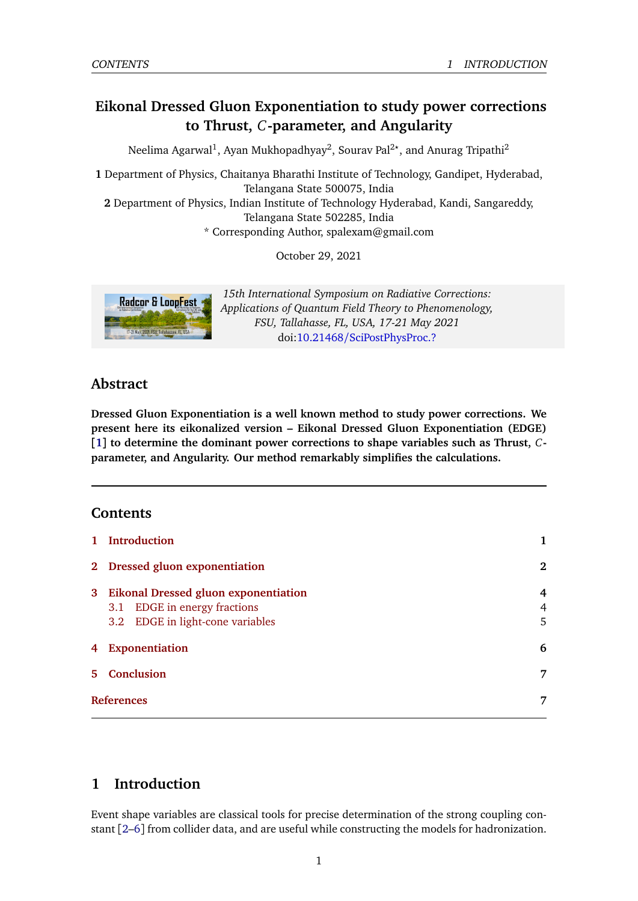# **Eikonal Dressed Gluon Exponentiation to study power corrections to Thrust,** *C***-parameter, and Angularity**

Neelima Agarwal<sup>1</sup>, Ayan Mukhopadhyay<sup>2</sup>, Sourav Pal<sup>2</sup>\*, and Anurag Tripathi<sup>2</sup>

**1** Department of Physics, Chaitanya Bharathi Institute of Technology, Gandipet, Hyderabad, Telangana State 500075, India

**2** Department of Physics, Indian Institute of Technology Hyderabad, Kandi, Sangareddy, Telangana State 502285, India

\* Corresponding Author, spalexam@gmail.com

October 29, 2021



*15th International Symposium on Radiative Corrections: Applications of Quantum Field Theory to Phenomenology, FSU, Tallahasse, FL, USA, 17-21 May 2021* doi:10.21468/[SciPostPhysProc.?](https://doi.org/10.21468/SciPostPhysProc.?)

## **Abstract**

**Dressed Gluon Exponentiation is a well known method to study power corrections. We present here its eikonalized version – Eikonal Dressed Gluon Exponentiation (EDGE) [[1](#page-6-0)] to determine the dominant power corrections to shape variables such as Thrust,** *C***parameter, and Angularity. Our method remarkably simplifies the calculations.**

## **Contents**

| 1 Introduction                                                                                             | 1           |
|------------------------------------------------------------------------------------------------------------|-------------|
| 2 Dressed gluon exponentiation                                                                             | $\bf{2}$    |
| 3 Eikonal Dressed gluon exponentiation<br>3.1 EDGE in energy fractions<br>3.2 EDGE in light-cone variables | 4<br>4<br>5 |
| 4 Exponentiation                                                                                           | 6           |
| 5 Conclusion                                                                                               | 7           |
| <b>References</b>                                                                                          |             |

## <span id="page-0-0"></span>**1 Introduction**

Event shape variables are classical tools for precise determination of the strong coupling constant [[2](#page-6-2)[–6](#page-7-0)] from collider data, and are useful while constructing the models for hadronization.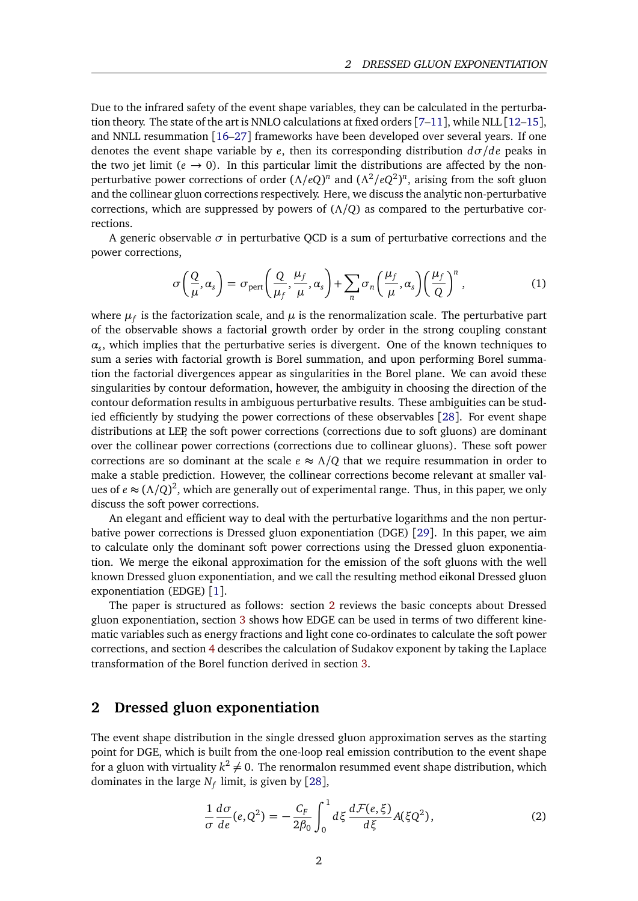Due to the infrared safety of the event shape variables, they can be calculated in the perturbation theory. The state of the art is NNLO calculations at fixed orders [[7–](#page-7-1)[11](#page-7-2)], while NLL [[12](#page-7-3)[–15](#page-7-4)], and NNLL resummation [[16–](#page-7-5)[27](#page-8-0)] frameworks have been developed over several years. If one denotes the event shape variable by *e*, then its corresponding distribution *dσ/de* peaks in the two jet limit ( $e \rightarrow 0$ ). In this particular limit the distributions are affected by the nonperturbative power corrections of order  $(\Lambda/eQ)^n$  and  $(\Lambda^2/eQ^2)^n$ , arising from the soft gluon and the collinear gluon corrections respectively. Here, we discuss the analytic non-perturbative corrections, which are suppressed by powers of (*Λ/Q*) as compared to the perturbative corrections.

A generic observable  $\sigma$  in perturbative QCD is a sum of perturbative corrections and the power corrections,

$$
\sigma\left(\frac{Q}{\mu},\alpha_s\right) = \sigma_{\text{pert}}\left(\frac{Q}{\mu_f},\frac{\mu_f}{\mu},\alpha_s\right) + \sum_n \sigma_n\left(\frac{\mu_f}{\mu},\alpha_s\right)\left(\frac{\mu_f}{Q}\right)^n,\tag{1}
$$

where  $\mu_f$  is the factorization scale, and  $\mu$  is the renormalization scale. The perturbative part of the observable shows a factorial growth order by order in the strong coupling constant *αs* , which implies that the perturbative series is divergent. One of the known techniques to sum a series with factorial growth is Borel summation, and upon performing Borel summation the factorial divergences appear as singularities in the Borel plane. We can avoid these singularities by contour deformation, however, the ambiguity in choosing the direction of the contour deformation results in ambiguous perturbative results. These ambiguities can be studied efficiently by studying the power corrections of these observables [[28](#page-8-1)]. For event shape distributions at LEP, the soft power corrections (corrections due to soft gluons) are dominant over the collinear power corrections (corrections due to collinear gluons). These soft power corrections are so dominant at the scale  $e \approx \Lambda/Q$  that we require resummation in order to make a stable prediction. However, the collinear corrections become relevant at smaller values of  $e \approx (\Lambda/Q)^2$ , which are generally out of experimental range. Thus, in this paper, we only discuss the soft power corrections.

An elegant and efficient way to deal with the perturbative logarithms and the non perturbative power corrections is Dressed gluon exponentiation (DGE) [[29](#page-8-2)]. In this paper, we aim to calculate only the dominant soft power corrections using the Dressed gluon exponentiation. We merge the eikonal approximation for the emission of the soft gluons with the well known Dressed gluon exponentiation, and we call the resulting method eikonal Dressed gluon exponentiation (EDGE) [[1](#page-6-0)].

The paper is structured as follows: section [2](#page-1-0) reviews the basic concepts about Dressed gluon exponentiation, section [3](#page-3-0) shows how EDGE can be used in terms of two different kinematic variables such as energy fractions and light cone co-ordinates to calculate the soft power corrections, and section [4](#page-5-0) describes the calculation of Sudakov exponent by taking the Laplace transformation of the Borel function derived in section [3.](#page-3-0)

### <span id="page-1-0"></span>**2 Dressed gluon exponentiation**

The event shape distribution in the single dressed gluon approximation serves as the starting point for DGE, which is built from the one-loop real emission contribution to the event shape for a gluon with virtuality  $k^2\neq 0.$  The renormalon resummed event shape distribution, which dominates in the large *N<sup>f</sup>* limit, is given by [[28](#page-8-1)],

<span id="page-1-1"></span>
$$
\frac{1}{\sigma}\frac{d\sigma}{de}(e,Q^2) = -\frac{C_F}{2\beta_0} \int_0^1 d\xi \, \frac{d\mathcal{F}(e,\xi)}{d\xi} A(\xi Q^2),\tag{2}
$$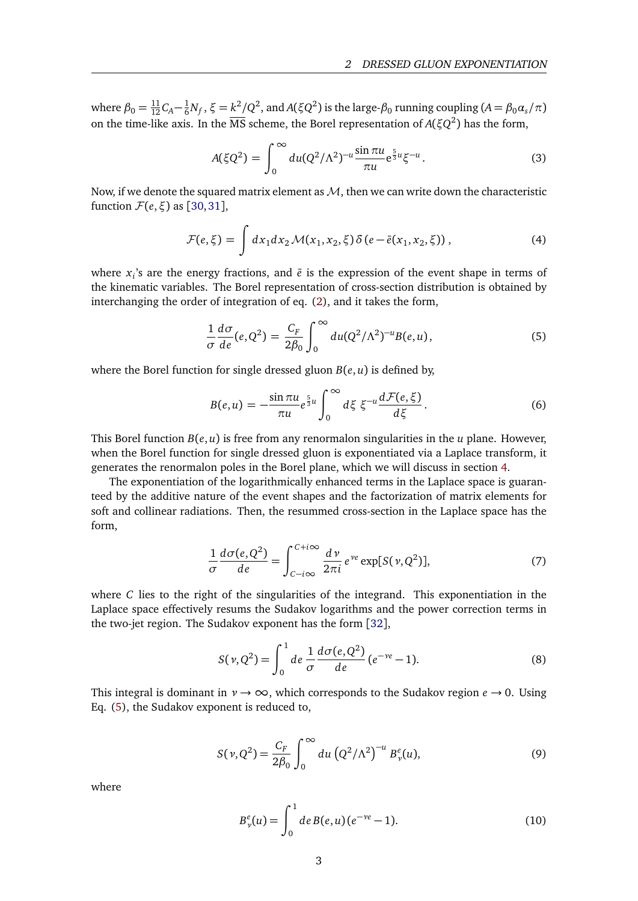where  $\beta_0 = \frac{11}{12}C_A - \frac{1}{6}N_f$ ,  $\xi = k^2/Q^2$ , and  $A(\xi Q^2)$  is the large- $\beta_0$  running coupling  $(A = \beta_0 \alpha_s/\pi)$ on the time-like axis. In the  $\overline{\text{MS}}$  scheme, the Borel representation of  $A(\xi Q^2)$  has the form,

<span id="page-2-1"></span>
$$
A(\xi Q^2) = \int_0^\infty du (Q^2/\Lambda^2)^{-u} \frac{\sin \pi u}{\pi u} e^{\frac{5}{3}u} \xi^{-u}.
$$
 (3)

Now, if we denote the squared matrix element as  $M$ , then we can write down the characteristic function  $\mathcal{F}(e,\xi)$  as [[30,](#page-8-3)[31](#page-8-4)],

$$
\mathcal{F}(e,\xi) = \int dx_1 dx_2 \mathcal{M}(x_1,x_2,\xi) \delta(e-\bar{e}(x_1,x_2,\xi)), \tag{4}
$$

where  $x_i$ 's are the energy fractions, and  $\bar{e}$  is the expression of the event shape in terms of the kinematic variables. The Borel representation of cross-section distribution is obtained by interchanging the order of integration of eq. [\(2\)](#page-1-1), and it takes the form,

<span id="page-2-0"></span>
$$
\frac{1}{\sigma} \frac{d\sigma}{de}(e, Q^2) = \frac{C_F}{2\beta_0} \int_0^\infty du (Q^2/\Lambda^2)^{-u} B(e, u), \tag{5}
$$

where the Borel function for single dressed gluon  $B(e, u)$  is defined by,

<span id="page-2-2"></span>
$$
B(e, u) = -\frac{\sin \pi u}{\pi u} e^{\frac{5}{3}u} \int_0^\infty d\xi \xi^{-u} \frac{d\mathcal{F}(e, \xi)}{d\xi}.
$$
 (6)

This Borel function  $B(e, u)$  is free from any renormalon singularities in the *u* plane. However, when the Borel function for single dressed gluon is exponentiated via a Laplace transform, it generates the renormalon poles in the Borel plane, which we will discuss in section [4.](#page-5-0)

The exponentiation of the logarithmically enhanced terms in the Laplace space is guaranteed by the additive nature of the event shapes and the factorization of matrix elements for soft and collinear radiations. Then, the resummed cross-section in the Laplace space has the form,

$$
\frac{1}{\sigma} \frac{d\sigma(e, Q^2)}{de} = \int_{C-i\infty}^{C+i\infty} \frac{d\nu}{2\pi i} e^{\nu e} \exp[S(\nu, Q^2)],\tag{7}
$$

where *C* lies to the right of the singularities of the integrand. This exponentiation in the Laplace space effectively resums the Sudakov logarithms and the power correction terms in the two-jet region. The Sudakov exponent has the form [[32](#page-8-5)],

$$
S(\nu, Q^2) = \int_0^1 de \frac{1}{\sigma} \frac{d\sigma(e, Q^2)}{de} (e^{-\nu e} - 1).
$$
 (8)

This integral is dominant in  $\nu \rightarrow \infty$ , which corresponds to the Sudakov region  $e \rightarrow 0$ . Using Eq. [\(5\)](#page-2-0), the Sudakov exponent is reduced to,

$$
S(\nu, Q^2) = \frac{C_F}{2\beta_0} \int_0^\infty du \left( Q^2 / \Lambda^2 \right)^{-u} B^e_{\nu}(u), \tag{9}
$$

where

<span id="page-2-3"></span>
$$
B_{\nu}^{e}(u) = \int_{0}^{1} de B(e, u) (e^{-\nu e} - 1).
$$
 (10)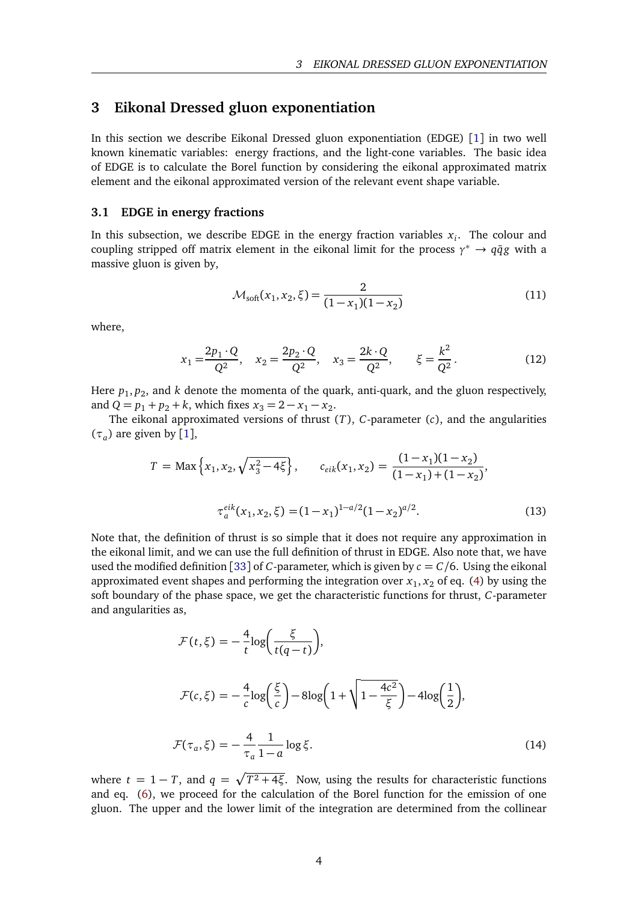### <span id="page-3-0"></span>**3 Eikonal Dressed gluon exponentiation**

In this section we describe Eikonal Dressed gluon exponentiation (EDGE) [[1](#page-6-0)] in two well known kinematic variables: energy fractions, and the light-cone variables. The basic idea of EDGE is to calculate the Borel function by considering the eikonal approximated matrix element and the eikonal approximated version of the relevant event shape variable.

#### <span id="page-3-1"></span>**3.1 EDGE in energy fractions**

In this subsection, we describe EDGE in the energy fraction variables  $x_i$ . The colour and coupling stripped off matrix element in the eikonal limit for the process  $\gamma^* \to q\bar{q}g$  with a massive gluon is given by,

$$
\mathcal{M}_{\text{soft}}(x_1, x_2, \xi) = \frac{2}{(1 - x_1)(1 - x_2)}\tag{11}
$$

where,

$$
x_1 = \frac{2p_1 \cdot Q}{Q^2}, \quad x_2 = \frac{2p_2 \cdot Q}{Q^2}, \quad x_3 = \frac{2k \cdot Q}{Q^2}, \quad \xi = \frac{k^2}{Q^2}.
$$
 (12)

Here  $p_1, p_2$ , and *k* denote the momenta of the quark, anti-quark, and the gluon respectively, and  $Q = p_1 + p_2 + k$ , which fixes  $x_3 = 2 - x_1 - x_2$ .

The eikonal approximated versions of thrust (*T*), *C*-parameter (*c*), and the angularities  $(\tau_a)$  are given by [[1](#page-6-0)],

$$
T = \text{Max}\left\{x_1, x_2, \sqrt{x_3^2 - 4\xi}\right\}, \qquad c_{eik}(x_1, x_2) = \frac{(1 - x_1)(1 - x_2)}{(1 - x_1) + (1 - x_2)},
$$

$$
\tau_a^{eik}(x_1, x_2, \xi) = (1 - x_1)^{1 - a/2}(1 - x_2)^{a/2}.
$$
(13)

Note that, the definition of thrust is so simple that it does not require any approximation in the eikonal limit, and we can use the full definition of thrust in EDGE. Also note that, we have used the modified definition [[33](#page-8-6)] of *C*-parameter, which is given by  $c = C/6$ . Using the eikonal approximated event shapes and performing the integration over  $x_1, x_2$  of eq. [\(4\)](#page-2-1) by using the soft boundary of the phase space, we get the characteristic functions for thrust, *C*-parameter and angularities as,

$$
\mathcal{F}(t,\xi) = -\frac{4}{t}\log\left(\frac{\xi}{t(q-t)}\right),
$$
  

$$
\mathcal{F}(c,\xi) = -\frac{4}{c}\log\left(\frac{\xi}{c}\right) - 8\log\left(1 + \sqrt{1 - \frac{4c^2}{\xi}}\right) - 4\log\left(\frac{1}{2}\right),
$$
  

$$
\mathcal{F}(\tau_a,\xi) = -\frac{4}{\tau_a}\frac{1}{1-a}\log\xi.
$$
 (14)

where  $t = 1 - T$ , and  $q = \sqrt{T^2 + 4\xi}$ . Now, using the results for characteristic functions and eq. [\(6\)](#page-2-2), we proceed for the calculation of the Borel function for the emission of one gluon. The upper and the lower limit of the integration are determined from the collinear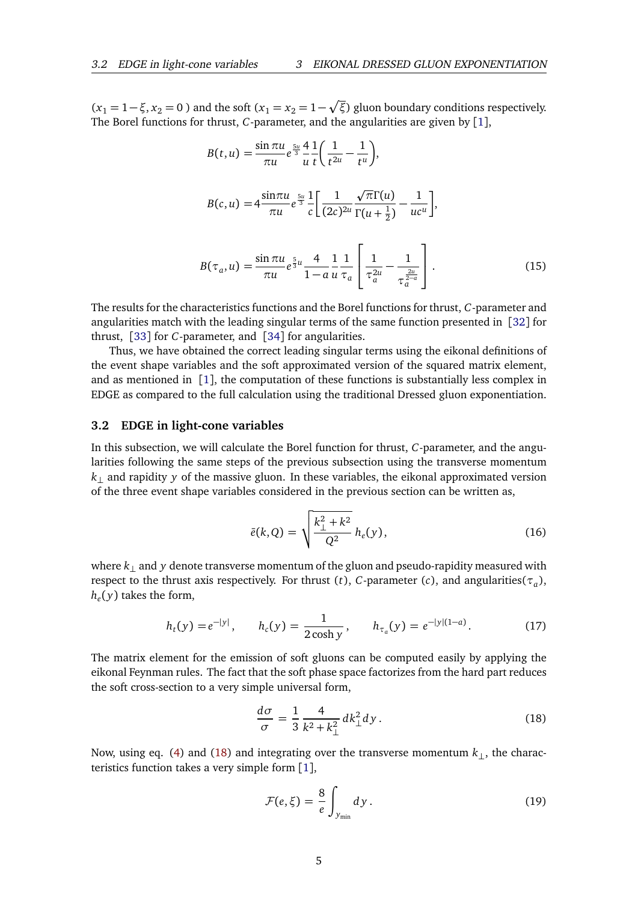$(x_1 = 1 - \xi, x_2 = 0)$  and the soft  $(x_1 = x_2 = 1 - \sqrt{\xi})$  gluon boundary conditions respectively. The Borel functions for thrust, *C*-parameter, and the angularities are given by [[1](#page-6-0)],

<span id="page-4-5"></span>
$$
B(t, u) = \frac{\sin \pi u}{\pi u} e^{\frac{5u}{3}} \frac{4}{u} \frac{1}{t} \left( \frac{1}{t^{2u}} - \frac{1}{t^u} \right),
$$
  
\n
$$
B(c, u) = 4 \frac{\sin \pi u}{\pi u} e^{\frac{5u}{3}} \frac{1}{c} \left[ \frac{1}{(2c)^{2u}} \frac{\sqrt{\pi} \Gamma(u)}{\Gamma(u + \frac{1}{2})} - \frac{1}{uc^u} \right],
$$
  
\n
$$
B(\tau_a, u) = \frac{\sin \pi u}{\pi u} e^{\frac{5}{3}u} \frac{4}{1 - a} \frac{1}{u} \frac{1}{\tau_a} \left[ \frac{1}{\tau_a^{2u}} - \frac{1}{\tau_a^{\frac{2u}{a}}} \right].
$$
\n(15)

The results for the characteristics functions and the Borel functions for thrust, *C*-parameter and angularities match with the leading singular terms of the same function presented in [[32](#page-8-5)] for thrust, [[33](#page-8-6)] for *C*-parameter, and [[34](#page-8-7)] for angularities.

Thus, we have obtained the correct leading singular terms using the eikonal definitions of the event shape variables and the soft approximated version of the squared matrix element, and as mentioned in  $\lceil 1 \rceil$  $\lceil 1 \rceil$  $\lceil 1 \rceil$ , the computation of these functions is substantially less complex in EDGE as compared to the full calculation using the traditional Dressed gluon exponentiation.

#### <span id="page-4-0"></span>**3.2 EDGE in light-cone variables**

In this subsection, we will calculate the Borel function for thrust, *C*-parameter, and the angularities following the same steps of the previous subsection using the transverse momentum *k*⊥ and rapidity *y* of the massive gluon. In these variables, the eikonal approximated version of the three event shape variables considered in the previous section can be written as,

<span id="page-4-2"></span>
$$
\bar{e}(k,Q) = \sqrt{\frac{k_{\perp}^2 + k^2}{Q^2}} h_e(y),
$$
\n(16)

where *k*⊥ and *y* denote transverse momentum of the gluon and pseudo-rapidity measured with respect to the thrust axis respectively. For thrust (*t*), *C*-parameter (*c*), and angularities(*τ<sup>a</sup>* ),  $h_e(y)$  takes the form,

$$
h_t(y) = e^{-|y|}, \qquad h_c(y) = \frac{1}{2\cosh y}, \qquad h_{\tau_a}(y) = e^{-|y|(1-a)}.
$$
 (17)

The matrix element for the emission of soft gluons can be computed easily by applying the eikonal Feynman rules. The fact that the soft phase space factorizes from the hard part reduces the soft cross-section to a very simple universal form,

<span id="page-4-3"></span><span id="page-4-1"></span>
$$
\frac{d\sigma}{\sigma} = \frac{1}{3} \frac{4}{k^2 + k_\perp^2} dk_\perp^2 dy \,. \tag{18}
$$

Now, using eq. [\(4\)](#page-2-1) and [\(18\)](#page-4-1) and integrating over the transverse momentum *k*⊥, the characteristics function takes a very simple form [[1](#page-6-0)],

<span id="page-4-4"></span>
$$
\mathcal{F}(e,\xi) = \frac{8}{e} \int_{y_{\min}} dy \,. \tag{19}
$$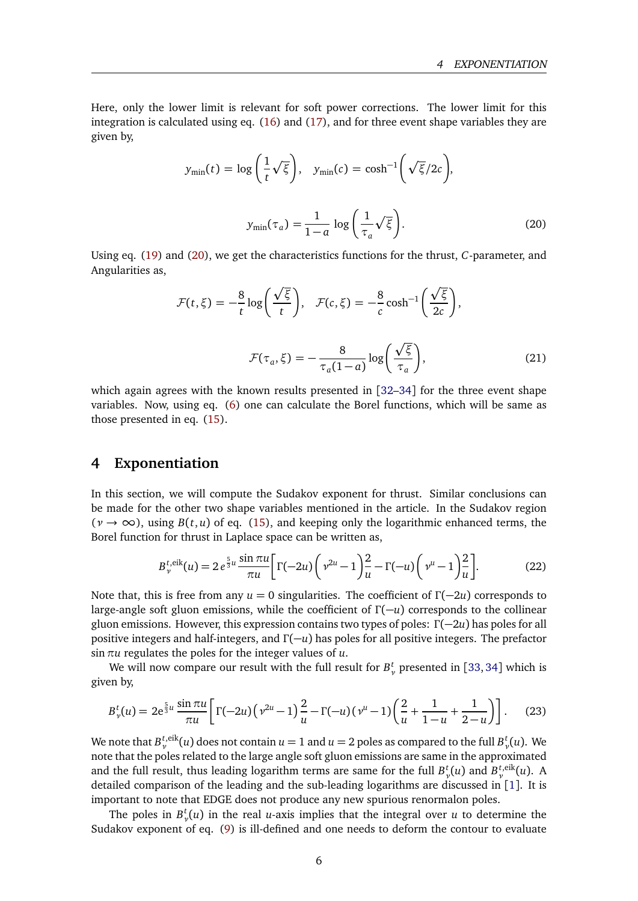Here, only the lower limit is relevant for soft power corrections. The lower limit for this integration is calculated using eq. [\(16\)](#page-4-2) and [\(17\)](#page-4-3), and for three event shape variables they are given by,

<span id="page-5-1"></span>
$$
y_{\min}(t) = \log\left(\frac{1}{t}\sqrt{\xi}\right), \quad y_{\min}(c) = \cosh^{-1}\left(\sqrt{\xi}/2c\right),
$$

$$
y_{\min}(\tau_a) = \frac{1}{1-a}\log\left(\frac{1}{\tau_a}\sqrt{\xi}\right).
$$
(20)

Using eq. [\(19\)](#page-4-4) and [\(20\)](#page-5-1), we get the characteristics functions for the thrust, *C*-parameter, and Angularities as,

$$
\mathcal{F}(t,\xi) = -\frac{8}{t}\log\left(\frac{\sqrt{\xi}}{t}\right), \quad \mathcal{F}(c,\xi) = -\frac{8}{c}\cosh^{-1}\left(\frac{\sqrt{\xi}}{2c}\right),
$$

$$
\mathcal{F}(\tau_a,\xi) = -\frac{8}{\tau_a(1-a)}\log\left(\frac{\sqrt{\xi}}{\tau_a}\right),\tag{21}
$$

which again agrees with the known results presented in [[32](#page-8-5)[–34](#page-8-7)] for the three event shape variables. Now, using eq. [\(6\)](#page-2-2) one can calculate the Borel functions, which will be same as those presented in eq. [\(15\)](#page-4-5).

### <span id="page-5-0"></span>**4 Exponentiation**

In this section, we will compute the Sudakov exponent for thrust. Similar conclusions can be made for the other two shape variables mentioned in the article. In the Sudakov region  $(\gamma \to \infty)$ , using  $B(t, u)$  of eq. [\(15\)](#page-4-5), and keeping only the logarithmic enhanced terms, the Borel function for thrust in Laplace space can be written as,

$$
B_{\nu}^{t,\text{eik}}(u) = 2 e^{\frac{5}{3}u} \frac{\sin \pi u}{\pi u} \bigg[ \Gamma(-2u) \bigg( \nu^{2u} - 1 \bigg) \frac{2}{u} - \Gamma(-u) \bigg( \nu^{u} - 1 \bigg) \frac{2}{u} \bigg]. \tag{22}
$$

Note that, this is free from any  $u = 0$  singularities. The coefficient of  $\Gamma(-2u)$  corresponds to large-angle soft gluon emissions, while the coefficient of *Γ* (−*u*) corresponds to the collinear gluon emissions. However, this expression contains two types of poles: *Γ* (−2*u*) has poles for all positive integers and half-integers, and *Γ* (−*u*) has poles for all positive integers. The prefactor sin*πu* regulates the poles for the integer values of *u*.

We will now compare our result with the full result for  $B_{\nu}^{t}$  presented in [[33,](#page-8-6) [34](#page-8-7)] which is given by,

$$
B_{\nu}^{t}(u) = 2e^{\frac{5}{3}u} \frac{\sin \pi u}{\pi u} \left[ \Gamma(-2u) \left( \nu^{2u} - 1 \right) \frac{2}{u} - \Gamma(-u) \left( \nu^{u} - 1 \right) \left( \frac{2}{u} + \frac{1}{1-u} + \frac{1}{2-u} \right) \right].
$$
 (23)

We note that  $B_\nu^{t,\text{eik}}(u)$  does not contain  $u=1$  and  $u=2$  poles as compared to the full  $B_\nu^{t}(u)$ . We note that the poles related to the large angle soft gluon emissions are same in the approximated and the full result, thus leading logarithm terms are same for the full  $B_v^t(u)$  and  $B_v^{t, eik}(u)$ . A detailed comparison of the leading and the sub-leading logarithms are discussed in [[1](#page-6-0)]. It is important to note that EDGE does not produce any new spurious renormalon poles.

The poles in  $B_{\nu}^t(u)$  in the real *u*-axis implies that the integral over *u* to determine the Sudakov exponent of eq. [\(9\)](#page-2-3) is ill-defined and one needs to deform the contour to evaluate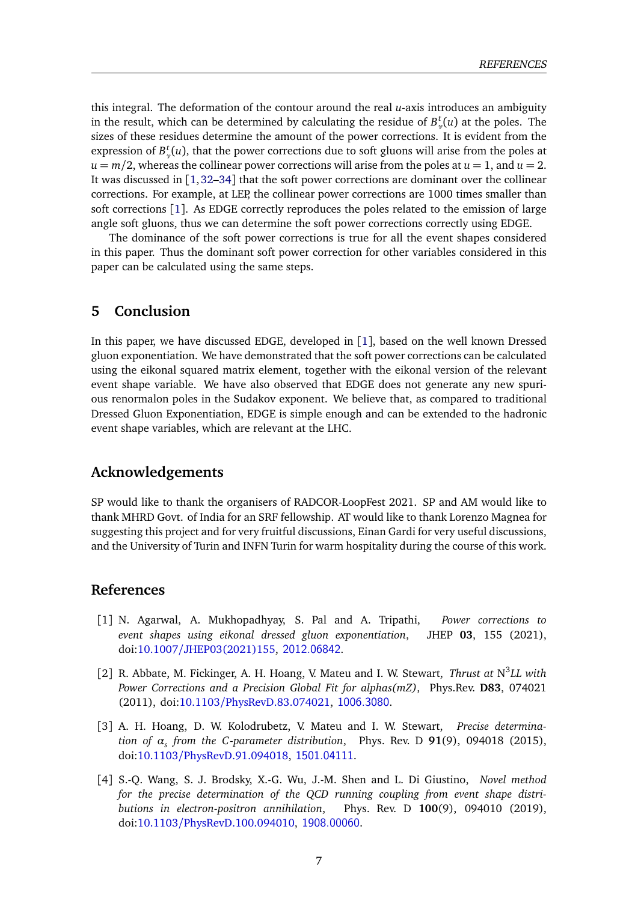this integral. The deformation of the contour around the real *u*-axis introduces an ambiguity in the result, which can be determined by calculating the residue of  $B_{\nu}^{t}(u)$  at the poles. The sizes of these residues determine the amount of the power corrections. It is evident from the expression of  $B_{\nu}^t(u)$ , that the power corrections due to soft gluons will arise from the poles at  $u = m/2$ , whereas the collinear power corrections will arise from the poles at  $u = 1$ , and  $u = 2$ . It was discussed in  $\lceil 1,32-34 \rceil$  $\lceil 1,32-34 \rceil$  $\lceil 1,32-34 \rceil$  $\lceil 1,32-34 \rceil$  that the soft power corrections are dominant over the collinear corrections. For example, at LEP, the collinear power corrections are 1000 times smaller than soft corrections [[1](#page-6-0)]. As EDGE correctly reproduces the poles related to the emission of large angle soft gluons, thus we can determine the soft power corrections correctly using EDGE.

The dominance of the soft power corrections is true for all the event shapes considered in this paper. Thus the dominant soft power correction for other variables considered in this paper can be calculated using the same steps.

## <span id="page-6-1"></span>**5 Conclusion**

In this paper, we have discussed EDGE, developed in [[1](#page-6-0)], based on the well known Dressed gluon exponentiation. We have demonstrated that the soft power corrections can be calculated using the eikonal squared matrix element, together with the eikonal version of the relevant event shape variable. We have also observed that EDGE does not generate any new spurious renormalon poles in the Sudakov exponent. We believe that, as compared to traditional Dressed Gluon Exponentiation, EDGE is simple enough and can be extended to the hadronic event shape variables, which are relevant at the LHC.

## **Acknowledgements**

SP would like to thank the organisers of RADCOR-LoopFest 2021. SP and AM would like to thank MHRD Govt. of India for an SRF fellowship. AT would like to thank Lorenzo Magnea for suggesting this project and for very fruitful discussions, Einan Gardi for very useful discussions, and the University of Turin and INFN Turin for warm hospitality during the course of this work.

### **References**

- <span id="page-6-0"></span>[1] N. Agarwal, A. Mukhopadhyay, S. Pal and A. Tripathi, *Power corrections to event shapes using eikonal dressed gluon exponentiation*, JHEP **03**, 155 (2021), doi:10.1007/[JHEP03\(2021\)155,](https://doi.org/10.1007/JHEP03(2021)155) <2012.06842>.
- <span id="page-6-2"></span>[2] R. Abbate, M. Fickinger, A. H. Hoang, V. Mateu and I. W. Stewart, *Thrust at* N 3 *LL with Power Corrections and a Precision Global Fit for alphas(mZ)*, Phys.Rev. **D83**, 074021 (2011), doi:10.1103/[PhysRevD.83.074021,](https://doi.org/10.1103/PhysRevD.83.074021) <1006.3080>.
- [3] A. H. Hoang, D. W. Kolodrubetz, V. Mateu and I. W. Stewart, *Precise determination of α<sup>s</sup> from the C -parameter distribution*, Phys. Rev. D **91**(9), 094018 (2015), doi:10.1103/[PhysRevD.91.094018,](https://doi.org/10.1103/PhysRevD.91.094018) <1501.04111>.
- [4] S.-Q. Wang, S. J. Brodsky, X.-G. Wu, J.-M. Shen and L. Di Giustino, *Novel method for the precise determination of the QCD running coupling from event shape distributions in electron-positron annihilation*, Phys. Rev. D **100**(9), 094010 (2019), doi:10.1103/[PhysRevD.100.094010,](https://doi.org/10.1103/PhysRevD.100.094010) <1908.00060>.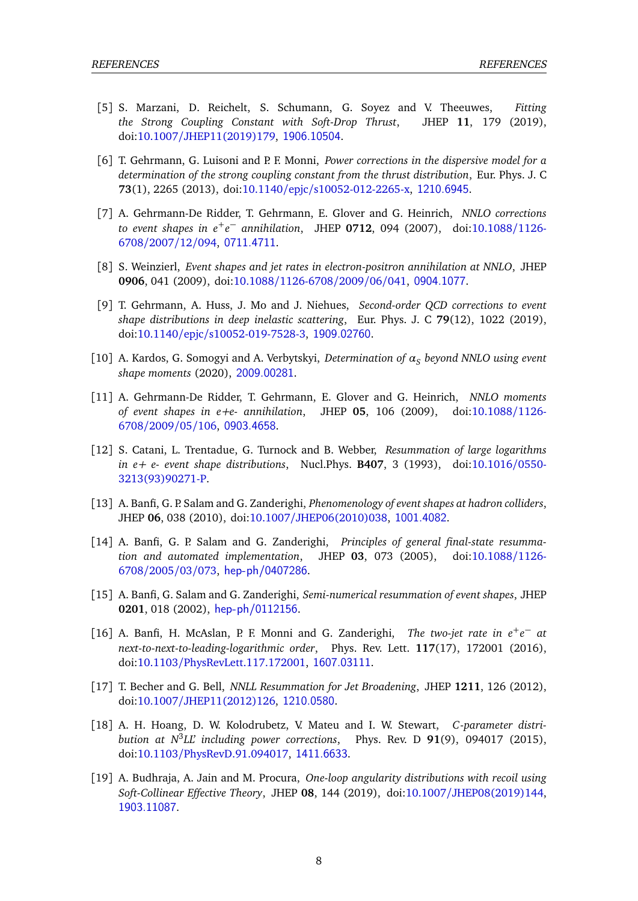- [5] S. Marzani, D. Reichelt, S. Schumann, G. Soyez and V. Theeuwes, *Fitting the Strong Coupling Constant with Soft-Drop Thrust*, JHEP **11**, 179 (2019), doi:10.1007/[JHEP11\(2019\)179,](https://doi.org/10.1007/JHEP11(2019)179) <1906.10504>.
- <span id="page-7-0"></span>[6] T. Gehrmann, G. Luisoni and P. F. Monni, *Power corrections in the dispersive model for a determination of the strong coupling constant from the thrust distribution*, Eur. Phys. J. C **73**(1), 2265 (2013), doi:10.1140/epjc/[s10052-012-2265-x,](https://doi.org/10.1140/epjc/s10052-012-2265-x) <1210.6945>.
- <span id="page-7-1"></span>[7] A. Gehrmann-De Ridder, T. Gehrmann, E. Glover and G. Heinrich, *NNLO corrections to event shapes in e*+*e* <sup>−</sup> *annihilation*, JHEP **<sup>0712</sup>**, 094 (2007), doi[:10.1088](https://doi.org/10.1088/1126-6708/2007/12/094)/1126- [6708](https://doi.org/10.1088/1126-6708/2007/12/094)/2007/12/094, <0711.4711>.
- [8] S. Weinzierl, *Event shapes and jet rates in electron-positron annihilation at NNLO*, JHEP **0906**, 041 (2009), doi:10.1088/[1126-6708](https://doi.org/10.1088/1126-6708/2009/06/041)/2009/06/041, <0904.1077>.
- [9] T. Gehrmann, A. Huss, J. Mo and J. Niehues, *Second-order QCD corrections to event shape distributions in deep inelastic scattering*, Eur. Phys. J. C **79**(12), 1022 (2019), doi:10.1140/epjc/[s10052-019-7528-3,](https://doi.org/10.1140/epjc/s10052-019-7528-3) <1909.02760>.
- [10] A. Kardos, G. Somogyi and A. Verbytskyi, *Determination of α<sup>S</sup> beyond NNLO using event shape moments* (2020), <2009.00281>.
- <span id="page-7-2"></span>[11] A. Gehrmann-De Ridder, T. Gehrmann, E. Glover and G. Heinrich, *NNLO moments of event shapes in e+e- annihilation*, JHEP **05**, 106 (2009), doi[:10.1088](https://doi.org/10.1088/1126-6708/2009/05/106)/1126- [6708](https://doi.org/10.1088/1126-6708/2009/05/106)/2009/05/106, <0903.4658>.
- <span id="page-7-3"></span>[12] S. Catani, L. Trentadue, G. Turnock and B. Webber, *Resummation of large logarithms in e+ e- event shape distributions*, Nucl.Phys. **B407**, 3 (1993), doi[:10.1016](https://doi.org/10.1016/0550-3213(93)90271-P)/0550- [3213\(93\)90271-P.](https://doi.org/10.1016/0550-3213(93)90271-P)
- [13] A. Banfi, G. P. Salam and G. Zanderighi, *Phenomenology of event shapes at hadron colliders*, JHEP **06**, 038 (2010), doi:10.1007/[JHEP06\(2010\)038,](https://doi.org/10.1007/JHEP06(2010)038) <1001.4082>.
- [14] A. Banfi, G. P. Salam and G. Zanderighi, *Principles of general final-state resummation and automated implementation*, JHEP **03**, 073 (2005), doi[:10.1088](https://doi.org/10.1088/1126-6708/2005/03/073)/1126- [6708](https://doi.org/10.1088/1126-6708/2005/03/073)/2005/03/073, <hep-ph/0407286>.
- <span id="page-7-4"></span>[15] A. Banfi, G. Salam and G. Zanderighi, *Semi-numerical resummation of event shapes*, JHEP **0201**, 018 (2002), <hep-ph/0112156>.
- <span id="page-7-5"></span>[16] A. Banfi, H. McAslan, P. F. Monni and G. Zanderighi, *The two-jet rate in e<sup>+</sup>e*<sup>-</sup> at *next-to-next-to-leading-logarithmic order*, Phys. Rev. Lett. **117**(17), 172001 (2016), doi:10.1103/[PhysRevLett.117.172001,](https://doi.org/10.1103/PhysRevLett.117.172001) <1607.03111>.
- [17] T. Becher and G. Bell, *NNLL Resummation for Jet Broadening*, JHEP **1211**, 126 (2012), doi:10.1007/[JHEP11\(2012\)126,](https://doi.org/10.1007/JHEP11(2012)126) <1210.0580>.
- [18] A. H. Hoang, D. W. Kolodrubetz, V. Mateu and I. W. Stewart, *C -parameter distribution at N*<sup>3</sup> *LL' including power corrections*, Phys. Rev. D **91**(9), 094017 (2015), doi:10.1103/[PhysRevD.91.094017,](https://doi.org/10.1103/PhysRevD.91.094017) <1411.6633>.
- [19] A. Budhraja, A. Jain and M. Procura, *One-loop angularity distributions with recoil using Soft-Collinear Effective Theory*, JHEP **08**, 144 (2019), doi:10.1007/[JHEP08\(2019\)144,](https://doi.org/10.1007/JHEP08(2019)144) <1903.11087>.